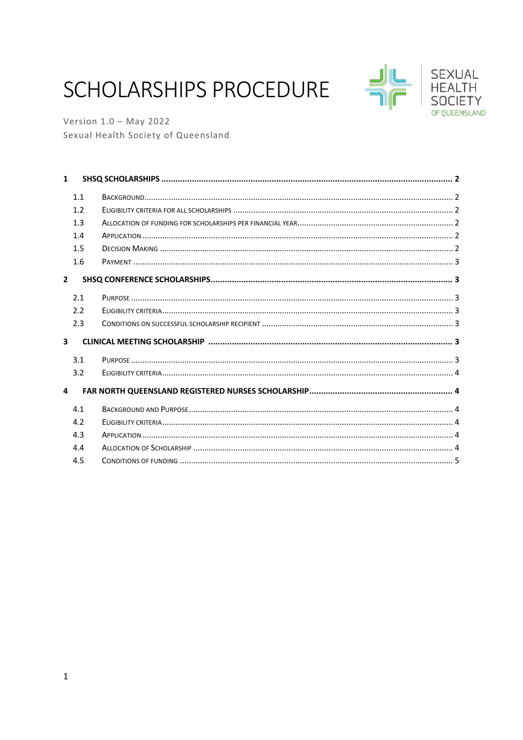# SCHOLARSHIPS PROCEDURE



**SLAND** 

Version  $1.0 -$  May 2022 Sexual Health Society of Queensland

| $\mathbf{1}$            |     |  |
|-------------------------|-----|--|
|                         | 1.1 |  |
|                         | 1.2 |  |
|                         | 1.3 |  |
|                         | 1.4 |  |
|                         | 1.5 |  |
|                         | 1.6 |  |
| $\overline{2}$          |     |  |
|                         | 2.1 |  |
|                         | 2.2 |  |
|                         | 2.3 |  |
| $\overline{\mathbf{3}}$ |     |  |
|                         | 3.1 |  |
|                         | 3.2 |  |
| 4                       |     |  |
|                         | 4.1 |  |
|                         | 4.2 |  |
|                         | 4.3 |  |
|                         | 4.4 |  |
|                         | 4.5 |  |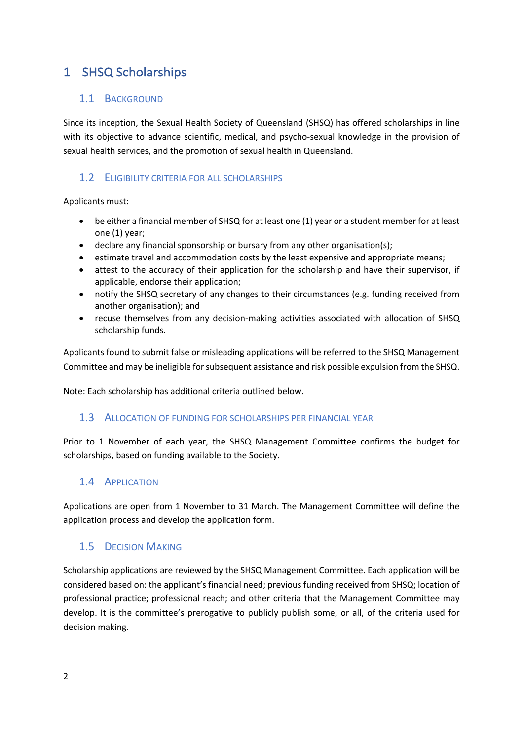### 1 SHSQ Scholarships

### 1.1 BACKGROUND

Since its inception, the Sexual Health Society of Queensland (SHSQ) has offered scholarships in line with its objective to advance scientific, medical, and psycho-sexual knowledge in the provision of sexual health services, and the promotion of sexual health in Queensland.

### 1.2 ELIGIBILITY CRITERIA FOR ALL SCHOLARSHIPS

Applicants must:

- be either a financial member of SHSQ for at least one (1) year or a student member for at least one (1) year;
- declare any financial sponsorship or bursary from any other organisation(s);
- estimate travel and accommodation costs by the least expensive and appropriate means;
- attest to the accuracy of their application for the scholarship and have their supervisor, if applicable, endorse their application;
- notify the SHSQ secretary of any changes to their circumstances (e.g. funding received from another organisation); and
- recuse themselves from any decision-making activities associated with allocation of SHSQ scholarship funds.

Applicants found to submit false or misleading applications will be referred to the SHSQ Management Committee and may be ineligible for subsequent assistance and risk possible expulsion from the SHSQ.

Note: Each scholarship has additional criteria outlined below.

### 1.3 ALLOCATION OF FUNDING FOR SCHOLARSHIPS PER FINANCIAL YEAR

Prior to 1 November of each year, the SHSQ Management Committee confirms the budget for scholarships, based on funding available to the Society.

### 1.4 APPLICATION

Applications are open from 1 November to 31 March. The Management Committee will define the application process and develop the application form.

### 1.5 DECISION MAKING

Scholarship applications are reviewed by the SHSQ Management Committee. Each application will be considered based on: the applicant's financial need; previous funding received from SHSQ; location of professional practice; professional reach; and other criteria that the Management Committee may develop. It is the committee's prerogative to publicly publish some, or all, of the criteria used for decision making.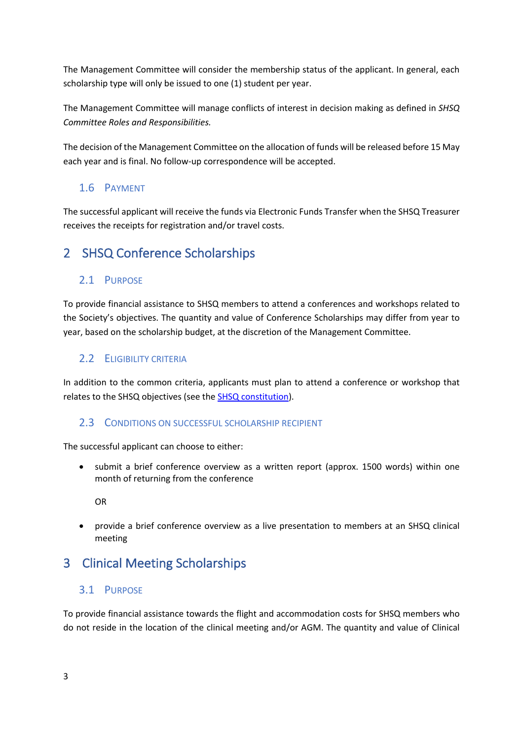The Management Committee will consider the membership status of the applicant. In general, each scholarship type will only be issued to one (1) student per year.

The Management Committee will manage conflicts of interest in decision making as defined in *SHSQ Committee Roles and Responsibilities.*

The decision of the Management Committee on the allocation of funds will be released before 15 May each year and is final. No follow-up correspondence will be accepted.

### 1.6 PAYMENT

The successful applicant will receive the funds via Electronic Funds Transfer when the SHSQ Treasurer receives the receipts for registration and/or travel costs.

### 2 SHSQ Conference Scholarships

### 2.1 PURPOSE

To provide financial assistance to SHSQ members to attend a conferences and workshops related to the Society's objectives. The quantity and value of Conference Scholarships may differ from year to year, based on the scholarship budget, at the discretion of the Management Committee.

### 2.2 ELIGIBILITY CRITERIA

In addition to the common criteria, applicants must plan to attend a conference or workshop that relates to the SHSQ objectives (see the **SHSQ constitution**).

### 2.3 CONDITIONS ON SUCCESSFUL SCHOLARSHIP RECIPIENT

The successful applicant can choose to either:

• submit a brief conference overview as a written report (approx. 1500 words) within one month of returning from the conference

OR

• provide a brief conference overview as a live presentation to members at an SHSQ clinical meeting

### 3 Clinical Meeting Scholarships

### 3.1 PURPOSE

To provide financial assistance towards the flight and accommodation costs for SHSQ members who do not reside in the location of the clinical meeting and/or AGM. The quantity and value of Clinical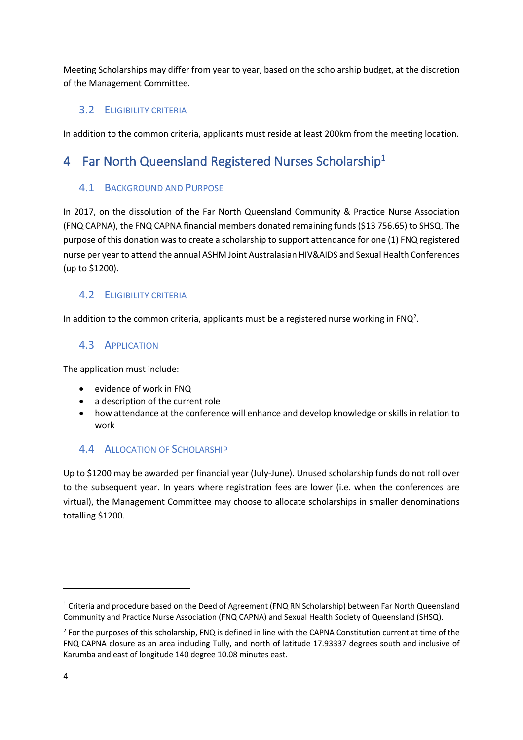Meeting Scholarships may differ from year to year, based on the scholarship budget, at the discretion of the Management Committee.

### 3.2 ELIGIBILITY CRITERIA

In addition to the common criteria, applicants must reside at least 200km from the meeting location.

## 4 Far North Queensland Registered Nurses Scholarship<sup>1</sup>

### 4.1 BACKGROUND AND PURPOSE

In 2017, on the dissolution of the Far North Queensland Community & Practice Nurse Association (FNQ CAPNA), the FNQ CAPNA financial members donated remaining funds (\$13 756.65) to SHSQ. The purpose of this donation was to create a scholarship to support attendance for one (1) FNQ registered nurse per year to attend the annual ASHM Joint Australasian HIV&AIDS and Sexual Health Conferences (up to \$1200).

### 4.2 ELIGIBILITY CRITERIA

In addition to the common criteria, applicants must be a registered nurse working in FNQ<sup>2</sup>.

### 4.3 APPLICATION

The application must include:

- evidence of work in FNQ
- a description of the current role
- how attendance at the conference will enhance and develop knowledge or skills in relation to work

### 4.4 ALLOCATION OF SCHOLARSHIP

Up to \$1200 may be awarded per financial year (July-June). Unused scholarship funds do not roll over to the subsequent year. In years where registration fees are lower (i.e. when the conferences are virtual), the Management Committee may choose to allocate scholarships in smaller denominations totalling \$1200.

<sup>&</sup>lt;sup>1</sup> Criteria and procedure based on the Deed of Agreement (FNQ RN Scholarship) between Far North Queensland Community and Practice Nurse Association (FNQ CAPNA) and Sexual Health Society of Queensland (SHSQ).

<sup>&</sup>lt;sup>2</sup> For the purposes of this scholarship, FNQ is defined in line with the CAPNA Constitution current at time of the FNQ CAPNA closure as an area including Tully, and north of latitude 17.93337 degrees south and inclusive of Karumba and east of longitude 140 degree 10.08 minutes east.